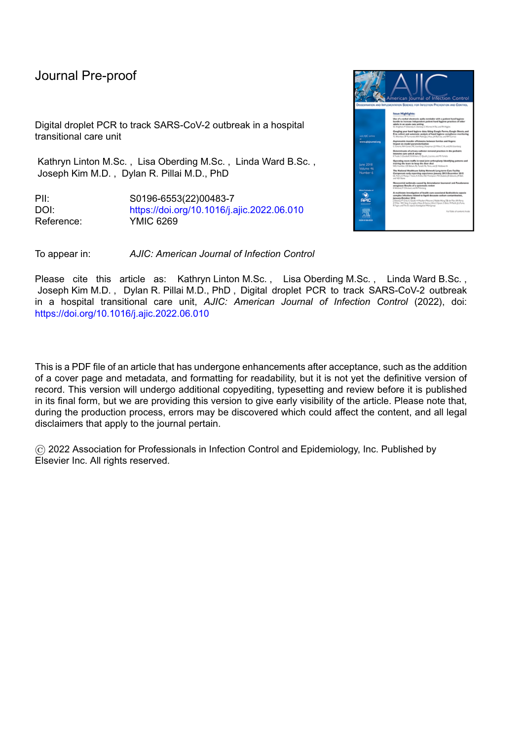Digital droplet PCR to track SARS-CoV-2 outbreak in a hospital transitional care unit

Kathryn Linton M.Sc. , Lisa Oberding M.Sc. , Linda Ward B.Sc. , Joseph Kim M.D. , Dylan R. Pillai M.D., PhD

PII: S0196-6553(22)00483-7 DOI: <https://doi.org/10.1016/j.ajic.2022.06.010> Reference: YMIC 6269



To appear in: *AJIC: American Journal of Infection Control*

Please cite this article as: Kathryn Linton M.Sc., Lisa Oberding M.Sc., Linda Ward B.Sc., Joseph Kim M.D. , Dylan R. Pillai M.D., PhD , Digital droplet PCR to track SARS-CoV-2 outbreak in a hospital transitional care unit, *AJIC: American Journal of Infection Control* (2022), doi: <https://doi.org/10.1016/j.ajic.2022.06.010>

This is a PDF file of an article that has undergone enhancements after acceptance, such as the addition of a cover page and metadata, and formatting for readability, but it is not yet the definitive version of record. This version will undergo additional copyediting, typesetting and review before it is published in its final form, but we are providing this version to give early visibility of the article. Please note that, during the production process, errors may be discovered which could affect the content, and all legal disclaimers that apply to the journal pertain.

© 2022 Association for Professionals in Infection Control and Epidemiology, Inc. Published by Elsevier Inc. All rights reserved.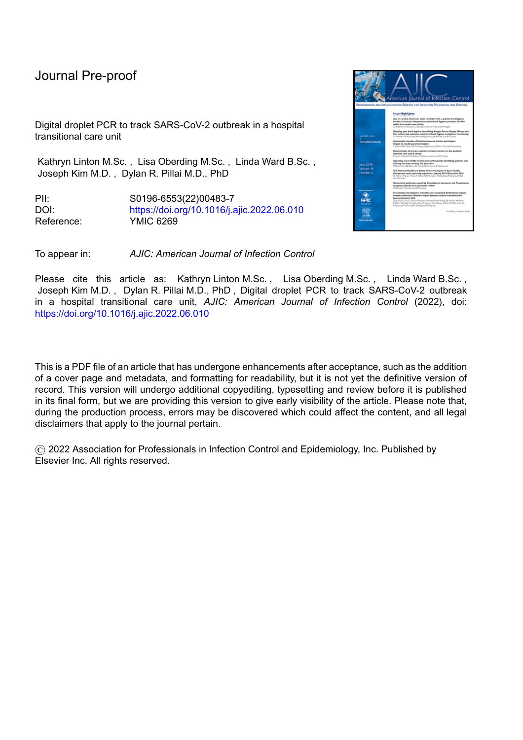Digital droplet PCR to track SARS-CoV-2 outbreak in a hospital transitional care unit

Kathryn Linton M.Sc.<sup>1</sup>, Lisa Oberding, M.Sc.<sup>2</sup>, Linda Ward B.Sc.<sup>1</sup>, and Joseph Kim, M.D.<sup>1,3</sup>, Dylan R. Pillai M.D., PhD 2,3,4

- 1. Infection Prevention and Control, Alberta Health Services, Calgary, AB, Canada
- 2. Department of Medicine, University of Calgary, Calgary, AB, Canada
- 3. Alberta Precision Laboratories, Calgary, AB, Canada

l

4. Department Pathology and Laboratory Medicine, University of Calgary, Calgary, AB, Canada

Running Title: Digital droplet PCR SARS-CoV-2 outbreak

Corresponding author: Dylan Pillai MD, PhD, Departments of Pathology and Laboratory Medicine, University of Calgary, 9-3535 Research Road NW, 1W-416, Calgary, AB, Canada, T2L2K8, drpillai@ucalgary.ca, T: 403-770-3338, F: 403-770-3347

Conflicts of interest: All authors report no conflict of interest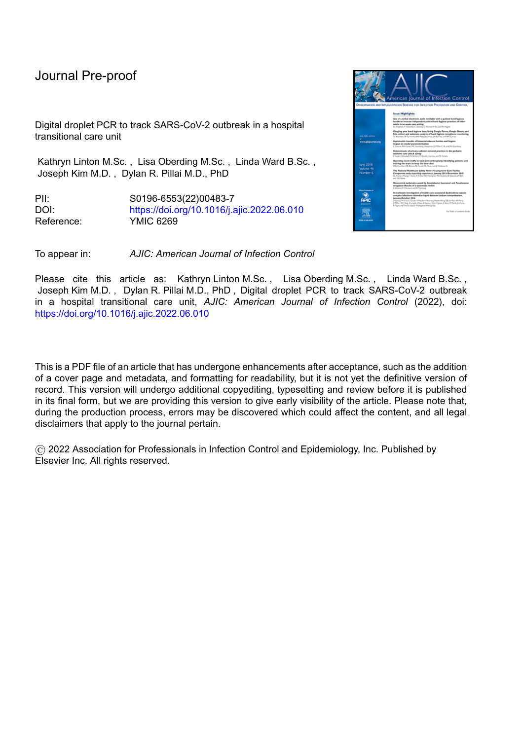# **Abstract**

We describe a large outbreak of SARS-CoV-2 on a transition unit composed of elderly patients awaiting placement. Environmental and patient sample analyses using ddPCR suggested possible fomite transmission and high viral burden source from a few individual patients. This outbreak illustrates challenges inherent to this specific patient population.

**Keywords:** SARS-CoV-2, COVID-19, outbreak, long term care, ddPCR

l

# **Introduction**

Numerous outbreaks in healthcare settings during the SARS-CoV-2 pandemic have been reported. Transmission occurs mainly via respiratory droplets and possibly contaminated surfaces or aerosols.<sup>1</sup> Rapid propagation of SARS-CoV-2 within healthcare settings has raised the possibility of "super-spreader events".<sup>2,3</sup>

This report describes an outbreak that occurred within a single unit at a large urban hospital in Calgary, Alberta, Canada during fall 2020 in a transitional unit for patients awaiting long-term care.

## **Methods**

## Outbreak Identification and Management

The initial case was a regular visitor who tested positive on November  $17<sup>th</sup>$ , 2020. The patient associated was isolated and screened. The following day they tested positive, and a multi-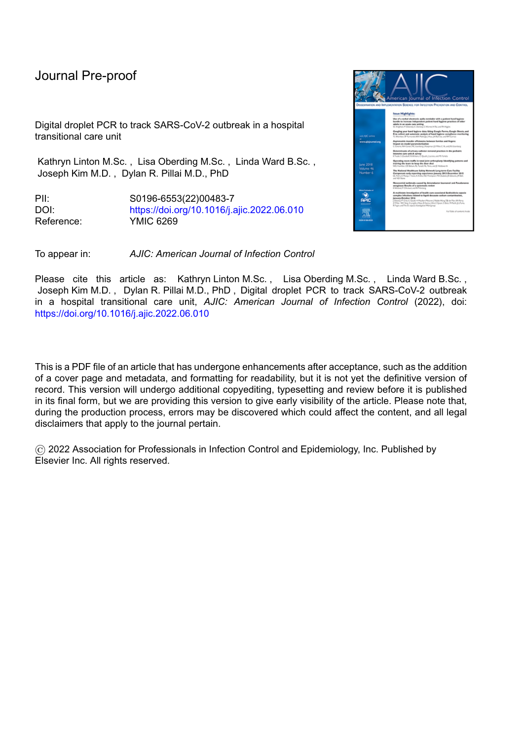l

disciplinary outbreak management team was established. As all patients had been on the unit for weeks to months, any new cases were considered nosocomial. Detailed epidemiologic investigation was pursued and key outbreak control measures were implemented including prevalence testing of all patients and healthcare workers (HCW) every 3 to 5 days, precautions for symptomatic positive patients and their contacts, unit closure to admission or transfers, enhanced cleaning, discontinuation of group activities, and strict visitor restrictions. Any positive patients were transferred to designated COVID units.

#### Laboratory Tests and Environmental Sampling

Patient and HCW testing was done using reverse-transcription PCR (RT-PCR) as per Alberta Precision Laboratories' (APL) standard protocols.<sup>4</sup> Genomic sequencing was performed on select samples to determine lineage at Alberta Health Bioinformatics. A total of 97 environmental samples were taken throughout the unit by using floc swabs to thoroughly swab each area of interest the same number of times, placing into Dulbecco's Modified Eagle Medium (DMEM) and freezing at -80°C before being extracted for analysis.<sup>5</sup>

In addition to testing through APL, patient and environmental samples were tested using the Bio-Rad SARS-CoV-2 ddPCR Kit (Bio-Rad, Pleasanton, CA, USA) with an AutoDG and QX200 ddPCR system (Bio-Rad, Pleasanton, CA). Data was analyzed in QX Manager 1.2 Standard Edition. Results were reported as copies/ $\mu$ L of N1 and N2 genes in the extracted RNA.

## **Results**

From November 19 to December 29, 2020, there were 34 cases (21 patients, 12 HCWs, 1 visitor). Despite immediate implementation of outbreak measures, by the sixth day 14 patients and 3 HCWs were positive (Figure 1). Due to the rapid spread and high attack rate, the unit was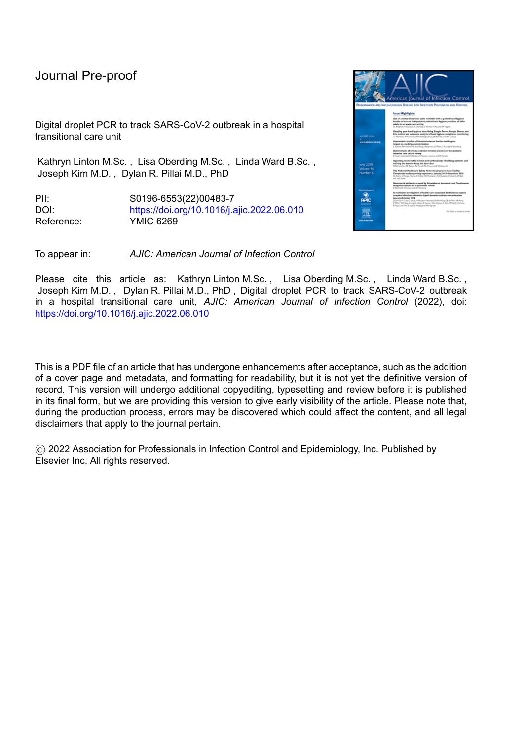l

closed on November 27; all patients were transferred to COVID units, and all HCWs were furloughed for 14 days. Seventy percent of patients became positive (mean age = 84 years, 45% male). Two patients passed away, while 42% required oxygen therapy. There was progressive geographic spread starting from the index case room suggesting rapid person-to-person spread (Figure 2A).



*Figure 1: Outbreak timeline. P=patient, S=staff. Boxes indicate illness duration; yellow = patient, purple = health care worker, green = visitor. Faded boxes indicate asymptomatic illness. -/+ indicate results of RT-PCR test for COVID-19 taken on that date. Dark circles indicate patients who required oxygen on that date, and red boxes indicate date patients became deceased. Red stars indicate patients who tested to have a very high viral load as per ddPCR testing (Figure 2). Blue line indicates date of unit closure.*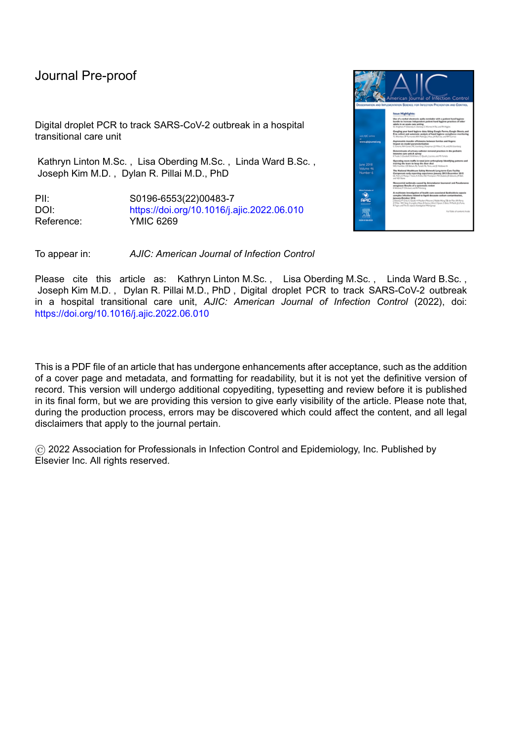l



*Figure 2: A) Results of environmental swab testing by ddPCR. Blue indicates negative for SARS-CoV-2 genetic material. Yellow indicates low detection (either N1 or N2 detected at 0.2-0.5 cp/µL). Orange indicates medium detection (either N1 or N2 detected at >0.5 cp/µL). Red indicates high detection (both N1 and N2 detected, >0.2 cp/µL). B) Outbreak tracking by viral gene load in patient swabs as measured by ddPCR. Viral gene load (red circles being highest, grey circles being lowest number of gene copies detected) is plotted by patient room number by date when sample was taken. Centre of circles indicate patient location and date of sampling. Blue line indicates date of unit closure. On the room map, red stars indicate rooms with positive patients during the outbreak, while red filled circles indicate the location of high viral load "super-spreader" patients, and red open circles indicate the location of environmental samples positive for SARS-CoV-2, close to these patients.*

There was an incomplete uptake of HCW prevalence screening, and 12/49 HCWs tested

positive during the outbreak. Ten cases were determined to be hospital-acquired. None required

hospitalization, and two remained asymptomatic.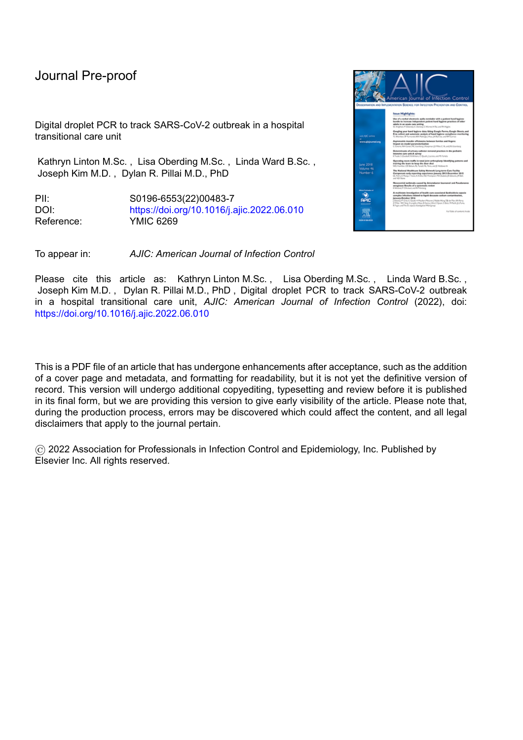Genomic screening showed samples shared a common phylogeny (B.1.438). As multiple lineages were present at the time, this supports one or few sources of introduction.

l

From the 97 environmental samples, 7% were positive for SARS-CoV-2 genetic material (n=7) (Figure 2A). Four were from common areas/items (walkers and chairs). The swab of the blanket warmer, sink, and door handle inside the clean utility room was also positive.

Several of the early patient case samples were quantified using ddPCR (Figure 2B). Viral gene load varied, with some having very high levels of virus.

## **Discussion**

Cases rapidly increased with an epidemic curve pattern suggesting a common source of exposure. ddPCR testing showed several early cases had high viral burden, corroborating rapid spread from few sources. The specific patient population coupled with unit layout were significant contributing factors. Many patients had underling dementia and wandered; these patients were also unable to comply well with masking, hygiene, and physical distancing. Similar challenges have been observed in long term care and combined nursing facilities.<sup>6</sup>

During the outbreak, surface sanitation was performed multiple times daily. Staff were also required to wear PPE, and were asked to wash and sanitize their hands frequently in addition to following social distancing. Most environmental samples came back negative for SARS-CoV-2 genes, including a room recently occupied by a COVID-19 patient, indicating cleaning practices were mostly sufficient for decontamination. However, a few potential sources of spread including a clean utility room accessed only by staff as well as shared common use items had viral genetic material, potentially indicating improper hygiene practices. The results indicate that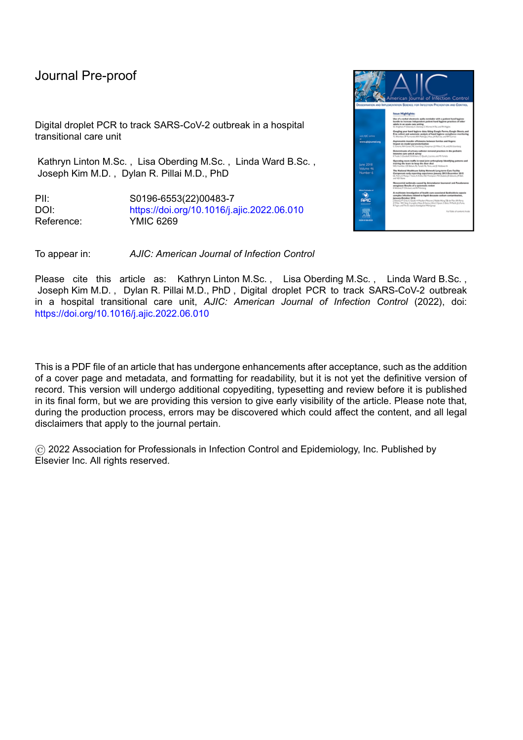fomite transmission may have played a role in this outbreak. Other studies have reported the importance of contaminated surfaces in SARS-CoV-2 transmission.<sup>1</sup>

l

This study was novel in its use of ddPCR. RT-PCR testing of patient samples has been the primary method used to identify COVID-19 cases.<sup>7</sup> ddPCR differs in that the reaction is separated into droplets containing template and the components for the RT-PCR reaction. Each droplet is then measured for absolute fluorescence at the endpoint, and using Poisson distribution, allows for end-point quantification without standard curves in a way that is less sensitive to reaction efficiency and inhibitors. Because of this, ddPCR may provide diagnostic advantages in sensitivity, quantitative capability, and robustness to inhibition for samples of lower quality or those with lower viral titres such as environmental swabs.  $8 \text{ In this study, ddPCR}$ was able to identify patients with high viral loads along with unknown points of environmental contamination. While Ct values from RT-PCR tests can give some indication of viral loads, they are not as exact in their estimations as ddPCR without the use of a standard curve, which was typically not run during pandemic diagnostics. Identification of super-spreader individuals and areas of potential environmental risk during an outbreak could allow for better tracking and outbreak management.

Several key learning points were shared with frontline staff and management, including careful patient and HCW symptom screening, early precaution implementation and testing, increased vigilance around cleaning, and removal of common items. Patient population characteristics and unit infrastructure should be taken into account for control, and novel diagnostic technology may be useful in understanding outbreak anatomy.

7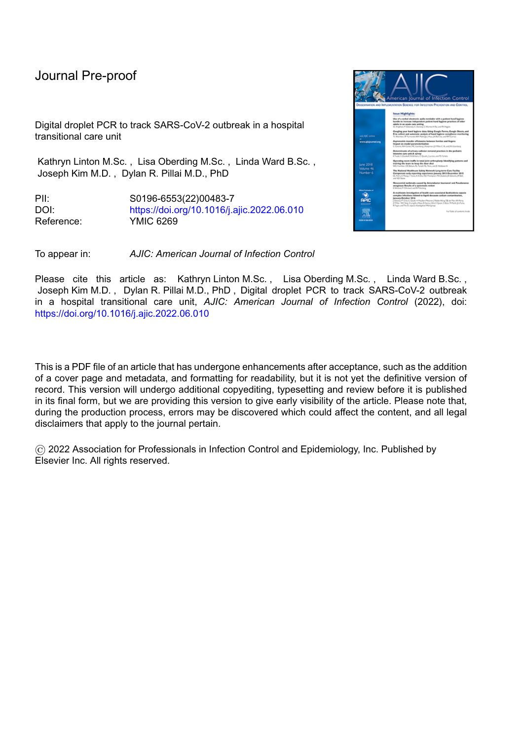*Financial Support:* This work was supported by the Canadian Institutes of Health Research [NFRFR-2019-00015] and the Canada Foundation for Innovation grant [EO 40999].

*Conflict of Interest:* All authors report no conflicts of interest relevant to this article.

l

# **References**

- 1. Bak A, Mugglestone MA, Ratnaraja N V., et al. SARS-CoV-2 routes of transmission and recommendations for preventing acquisition: joint British Infection Association (BIA), Healthcare Infection Society (HIS), Infection Prevention Society (IPS) and Royal College of Pathologists (RCPath) guidance. *J Hosp Infect*. 2021;114:79-103.
- 2. Lemieux JE, Siddle KJ, Shaw BM, et al. Phylogenetic analysis of SARS-CoV-2 in Boston highlights the impact of superspreading events. *Science*. 2021;371(6529).
- 3. Spielmanns M, Pekacka-Egli AM, Cecon M, et al. COVID-19 Outbreak During Inpatient Rehabilitation: Impact on Settings and Clinical Course of Neuromusculoskeletal Rehabilitation Patients. *Am J Phys Med Rehabil*. 2021;100(3):203-208.
- 4. Pabbaraju K, Wong AA, Douesnard M, et al. Development and validation of RT-PCR assays for testing for SARS-CoV-2. *https://doi.org/103138/jammi-2020-0026*. 2021;6(1):16-22.
- 5. Toppings N, Mohon AN, Lee Y, et al. Saliva-Dry LAMP: A rapid near-patient detection system for SARS-CoV-2. *Sci Rep*. 2021;(Submitted.
- 6. Graham NSN, Junghans C, Downes R, et al. SARS-CoV-2 infection, clinical features and outcome of COVID-19 in United Kingdom nursing homes. *J Infect*. 2020;81(3):411-419.